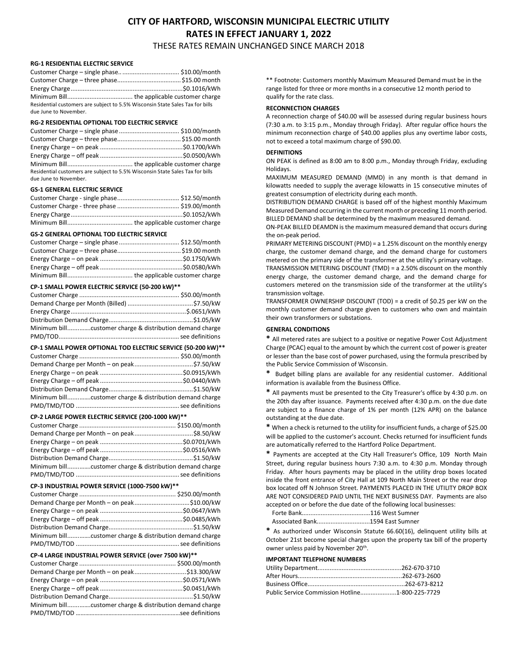## CITY OF HARTFORD, WISCONSIN MUNICIPAL ELECTRIC UTILITY RATES IN EFFECT JANUARY 1, 2022 THESE RATES REMAIN UNCHANGED SINCE MARCH 2018

#### RG-1 RESIDENTIAL ELECTRIC SERVICE

| Residential customers are subject to 5.5% Wisconsin State Sales Tax for bills |  |
|-------------------------------------------------------------------------------|--|
| due June to November.                                                         |  |

#### RG-2 RESIDENTIAL OPTIONAL TOD ELECTRIC SERVICE

| Residential customers are subject to 5.5% Wisconsin State Sales Tax for bills<br>due June to November. |  |
|--------------------------------------------------------------------------------------------------------|--|

## GS-1 GENERAL ELECTRIC SERVICE

#### GS-2 GENERAL OPTIONAL TOD ELECTRIC SERVICE

#### CP-1 SMALL POWER ELECTRIC SERVICE (50-200 kW)\*\*

| Minimum billcustomer charge & distribution demand charge |  |
|----------------------------------------------------------|--|
|                                                          |  |

| CP-1 SMALL POWER OPTIONAL TOD ELECTRIC SERVICE (50-200 kW)** |  |  |
|--------------------------------------------------------------|--|--|
|                                                              |  |  |
|                                                              |  |  |
|                                                              |  |  |
|                                                              |  |  |
|                                                              |  |  |
| Minimum billcustomer charge & distribution demand charge     |  |  |
|                                                              |  |  |

#### CP-2 LARGE POWER ELECTRIC SERVICE (200-1000 kW)\*\*

| Minimum billcustomer charge & distribution demand charge |  |
|----------------------------------------------------------|--|
|                                                          |  |

#### CP-3 INDUSTRIAL POWER SERVICE (1000-7500 kW)\*\*

| Minimum billcustomer charge & distribution demand charge |  |
|----------------------------------------------------------|--|
|                                                          |  |

#### CP-4 LARGE INDUSTRIAL POWER SERVICE (over 7500 kW)\*\*

| Demand Charge per Month - on peak\$13.300/kW             |
|----------------------------------------------------------|
|                                                          |
|                                                          |
|                                                          |
| Minimum billcustomer charge & distribution demand charge |
|                                                          |
|                                                          |

\*\* Footnote: Customers monthly Maximum Measured Demand must be in the range listed for three or more months in a consecutive 12 month period to qualify for the rate class.

## RECONNECTION CHARGES

A reconnection charge of \$40.00 will be assessed during regular business hours (7:30 a.m. to 3:15 p.m., Monday through Friday). After regular office hours the minimum reconnection charge of \$40.00 applies plus any overtime labor costs, not to exceed a total maximum charge of \$90.00.

## **DEFINITIONS**

ON PEAK is defined as 8:00 am to 8:00 p.m., Monday through Friday, excluding Holidays.

MAXIMUM MEASURED DEMAND (MMD) in any month is that demand in kilowatts needed to supply the average kilowatts in 15 consecutive minutes of greatest consumption of electricity during each month.

DISTRIBUTION DEMAND CHARGE is based off of the highest monthly Maximum Measured Demand occurring in the current month or preceding 11 month period. BILLED DEMAND shall be determined by the maximum measured demand.

ON-PEAK BILLED DEAMDN is the maximum measured demand that occurs during the on-peak period.

PRIMARY METERING DISCOUNT (PMD) = a 1.25% discount on the monthly energy charge, the customer demand charge, and the demand charge for customers metered on the primary side of the transformer at the utility's primary voltage.

TRANSMISSION METERING DISCOUNT (TMD) = a 2.50% discount on the monthly energy charge, the customer demand charge, and the demand charge for customers metered on the transmission side of the transformer at the utility's transmission voltage.

TRANSFORMER OWNERSHIP DISCOUNT (TOD) = a credit of \$0.25 per kW on the monthly customer demand charge given to customers who own and maintain their own transformers or substations.

### GENERAL CONDITIONS

\* All metered rates are subject to a positive or negative Power Cost Adjustment Charge (PCAC) equal to the amount by which the current cost of power is greater or lesser than the base cost of power purchased, using the formula prescribed by the Public Service Commission of Wisconsin.

\* Budget billing plans are available for any residential customer. Additional information is available from the Business Office.

\* All payments must be presented to the City Treasurer's office by 4:30 p.m. on the 20th day after issuance. Payments received after 4:30 p.m. on the due date are subject to a finance charge of 1% per month (12% APR) on the balance outstanding at the due date.

\* When a check is returned to the utility for insufficient funds, a charge of \$25.00 will be applied to the customer's account. Checks returned for insufficient funds are automatically referred to the Hartford Police Department.

\* Payments are accepted at the City Hall Treasurer's Office, 109 North Main Street, during regular business hours 7:30 a.m. to 4:30 p.m. Monday through Friday. After hours payments may be placed in the utility drop boxes located inside the front entrance of City Hall at 109 North Main Street or the rear drop box located off N Johnson Street. PAYMENTS PLACED IN THE UTILITY DROP BOX ARE NOT CONSIDERED PAID UNTIL THE NEXT BUSINESS DAY. Payments are also accepted on or before the due date of the following local businesses:

Forte Bank........................................116 West Sumner

Associated Bank...............................1594 East Sumner

\* As authorized under Wisconsin Statute 66.60(16), delinquent utility bills at October 21st become special charges upon the property tax bill of the property owner unless paid by November 20<sup>th</sup>.

## IMPORTANT TELEPHONE NUMBERS

| Public Service Commission Hotline1-800-225-7729 |  |
|-------------------------------------------------|--|